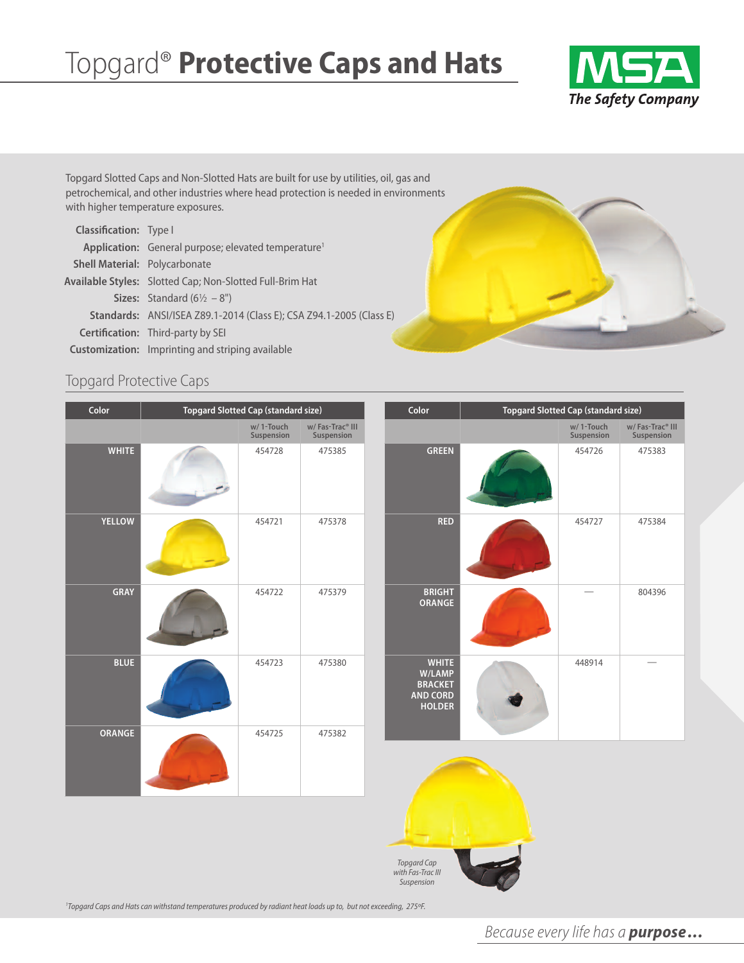# Topgard® **Protective Caps and Hats**



Topgard Slotted Caps and Non-Slotted Hats are built for use by utilities, oil, gas and petrochemical, and other industries where head protection is needed in environments with higher temperature exposures.

| <b>Classification:</b> Type I        |                                                                     |
|--------------------------------------|---------------------------------------------------------------------|
|                                      | Application: General purpose; elevated temperature <sup>1</sup>     |
| <b>Shell Material: Polycarbonate</b> |                                                                     |
|                                      | Available Styles: Slotted Cap; Non-Slotted Full-Brim Hat            |
|                                      | <b>Sizes:</b> Standard $(6\frac{1}{2} - 8)$                         |
|                                      | Standards: ANSI/ISEA Z89.1-2014 (Class E); CSA Z94.1-2005 (Class E) |
|                                      | <b>Certification:</b> Third-party by SEI                            |
|                                      | <b>Customization:</b> Imprinting and striping available             |

### Topgard Protective Caps

| Color         | <b>Topgard Slotted Cap (standard size)</b> |                                                                               | Color                                                                        | Topgard Slotted Cap (standard size) |                                           |
|---------------|--------------------------------------------|-------------------------------------------------------------------------------|------------------------------------------------------------------------------|-------------------------------------|-------------------------------------------|
|               | w/1-Touch<br>Suspension                    | $\mathsf{w}/\operatorname{\mathsf{Fas-Trac}}^\circ\mathsf{III}$<br>Suspension |                                                                              | w/1-Touch<br>Suspension             | w/Fas-Trac <sup>®</sup> III<br>Suspension |
| <b>WHITE</b>  | 454728                                     | 475385                                                                        | <b>GREEN</b>                                                                 | 454726                              | 475383                                    |
| <b>YELLOW</b> | 454721                                     | 475378                                                                        | <b>RED</b>                                                                   | 454727                              | 475384                                    |
| GRAY          | 454722                                     | 475379                                                                        | <b>BRIGHT</b><br><b>ORANGE</b>                                               |                                     | 804396                                    |
| <b>BLUE</b>   | 454723                                     | 475380                                                                        | <b>WHITE</b><br>W/LAMP<br><b>BRACKET</b><br><b>AND CORD</b><br><b>HOLDER</b> | 448914                              |                                           |
| ORANGE        | 454725                                     | 475382                                                                        |                                                                              |                                     |                                           |
|               |                                            |                                                                               |                                                                              |                                     |                                           |

*Topgard Cap with Fas-TracIII Suspension*

<sup>1</sup>Topgard Caps and Hats can withstand temperatures produced by radiant heat loads up to, but not exceeding, 275°F.